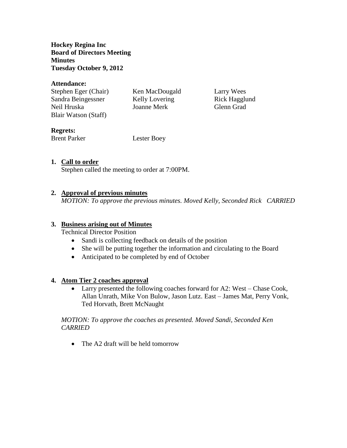**Hockey Regina Inc Board of Directors Meeting Minutes Tuesday October 9, 2012**

#### **Attendance:**

| Stephen Eger (Chair) | Ken MacDougald | Larry Wees    |
|----------------------|----------------|---------------|
| Sandra Beingessner   | Kelly Lovering | Rick Hagglund |
| Neil Hruska          | Joanne Merk    | Glenn Grad    |
| Blair Watson (Staff) |                |               |

# **Regrets:**

Brent Parker Lester Boey

### **1. Call to order**

Stephen called the meeting to order at 7:00PM.

### **2. Approval of previous minutes**

*MOTION: To approve the previous minutes. Moved Kelly, Seconded Rick CARRIED*

#### **3. Business arising out of Minutes**

Technical Director Position

- Sandi is collecting feedback on details of the position
- She will be putting together the information and circulating to the Board
- Anticipated to be completed by end of October

#### **4. Atom Tier 2 coaches approval**

 Larry presented the following coaches forward for A2: West – Chase Cook, Allan Unrath, Mike Von Bulow, Jason Lutz. East – James Mat, Perry Vonk, Ted Horvath, Brett McNaught

*MOTION: To approve the coaches as presented. Moved Sandi, Seconded Ken CARRIED*

• The A2 draft will be held tomorrow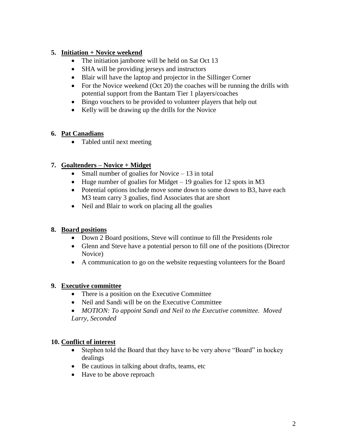# **5. Initiation + Novice weekend**

- The initiation jamboree will be held on Sat Oct 13
- SHA will be providing jerseys and instructors
- Blair will have the laptop and projector in the Sillinger Corner
- For the Novice weekend (Oct 20) the coaches will be running the drills with potential support from the Bantam Tier 1 players/coaches
- Bingo vouchers to be provided to volunteer players that help out
- Kelly will be drawing up the drills for the Novice

# **6. Pat Canadians**

• Tabled until next meeting

# **7. Goaltenders – Novice + Midget**

- Small number of goalies for Novice  $-13$  in total
- $\bullet$  Huge number of goalies for Midget 19 goalies for 12 spots in M3
- Potential options include move some down to some down to B3, have each M3 team carry 3 goalies, find Associates that are short
- Neil and Blair to work on placing all the goalies

# **8. Board positions**

- Down 2 Board positions, Steve will continue to fill the Presidents role
- Glenn and Steve have a potential person to fill one of the positions (Director Novice)
- A communication to go on the website requesting volunteers for the Board

# **9. Executive committee**

- There is a position on the Executive Committee
- Neil and Sandi will be on the Executive Committee
- *MOTION: To appoint Sandi and Neil to the Executive committee. Moved Larry, Seconded*

### **10. Conflict of interest**

- Stephen told the Board that they have to be very above "Board" in hockey dealings
- Be cautious in talking about drafts, teams, etc
- Have to be above reproach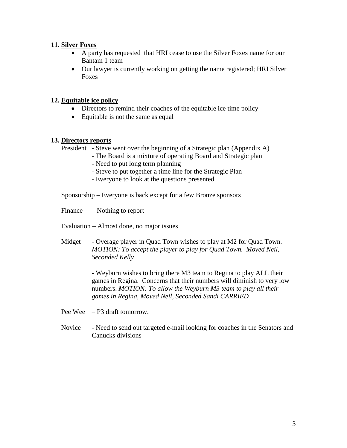#### **11. Silver Foxes**

- A party has requested that HRI cease to use the Silver Foxes name for our Bantam 1 team
- Our lawyer is currently working on getting the name registered; HRI Silver Foxes

### **12. Equitable ice policy**

- Directors to remind their coaches of the equitable ice time policy
- Equitable is not the same as equal

#### **13. Directors reports**

President - Steve went over the beginning of a Strategic plan (Appendix A)

- The Board is a mixture of operating Board and Strategic plan
	- Need to put long term planning
	- Steve to put together a time line for the Strategic Plan
	- Everyone to look at the questions presented

Sponsorship – Everyone is back except for a few Bronze sponsors

Finance – Nothing to report

Evaluation – Almost done, no major issues

Midget - Overage player in Quad Town wishes to play at M2 for Quad Town. *MOTION: To accept the player to play for Quad Town. Moved Neil, Seconded Kelly*

> - Weyburn wishes to bring there M3 team to Regina to play ALL their games in Regina. Concerns that their numbers will diminish to very low numbers. *MOTION: To allow the Weyburn M3 team to play all their games in Regina, Moved Neil, Seconded Sandi CARRIED*

Pee Wee – P3 draft tomorrow.

Novice - Need to send out targeted e-mail looking for coaches in the Senators and Canucks divisions